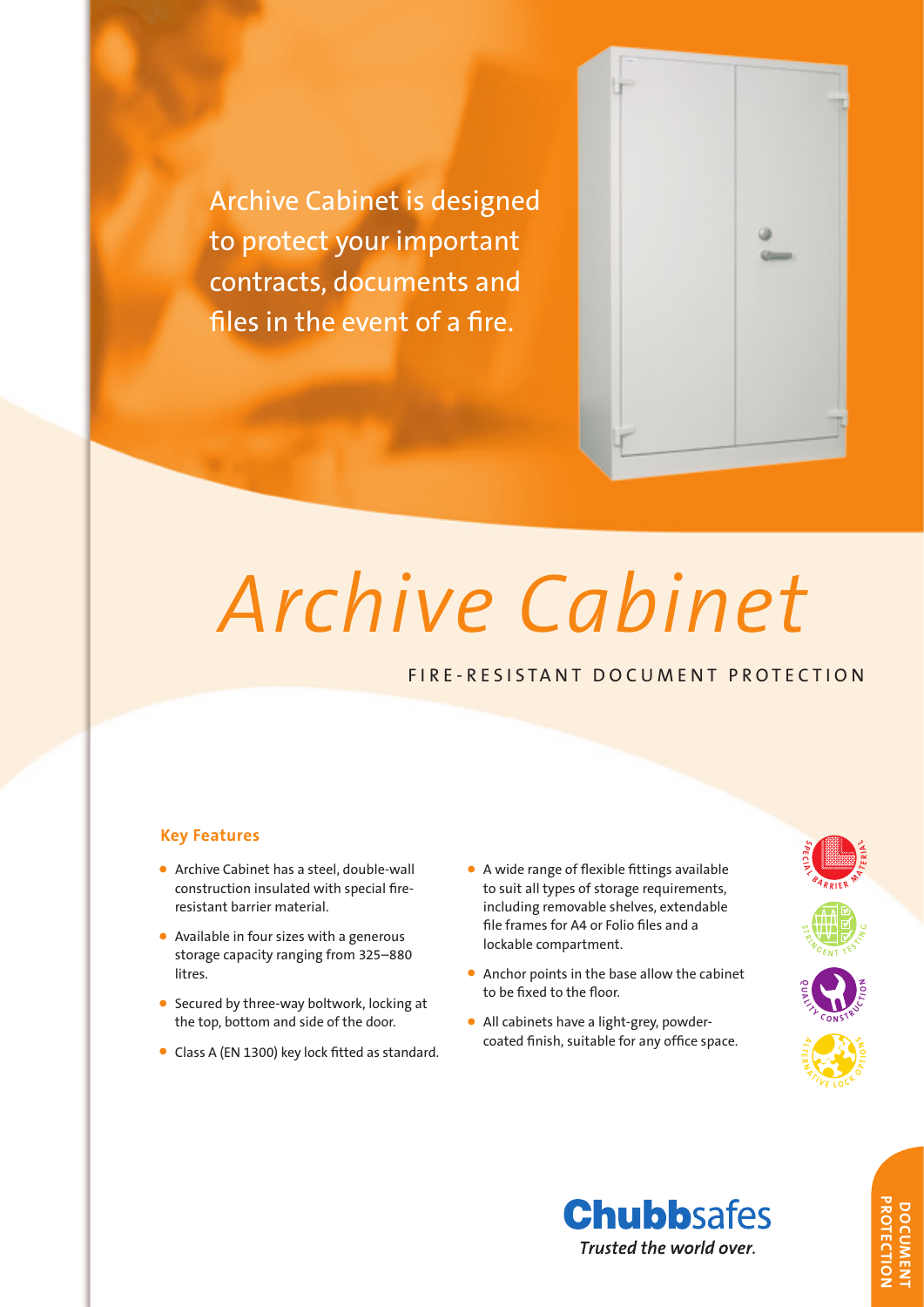Archive Cabinet is designed to protect your important contracts, documents and files in the event of a fire.



# *Archive Cabinet*

# FIRE-RESISTANT DOCUMENT PROTECTION

# **Key Features**

- Archive Cabinet has a steel, double-wall construction insulated with special fireresistant barrier material.
- Available in four sizes with a generous storage capacity ranging from 325–880 litres.
- Secured by three-way boltwork, locking at the top, bottom and side of the door.
- Class A (EN 1300) key lock fitted as standard.
- A wide range of flexible fittings available to suit all types of storage requirements, including removable shelves, extendable file frames for A4 or Folio files and a lockable compartment.
- Anchor points in the base allow the cabinet to be fixed to the floor.
- All cabinets have a light-grey, powdercoated finish, suitable for any office space.